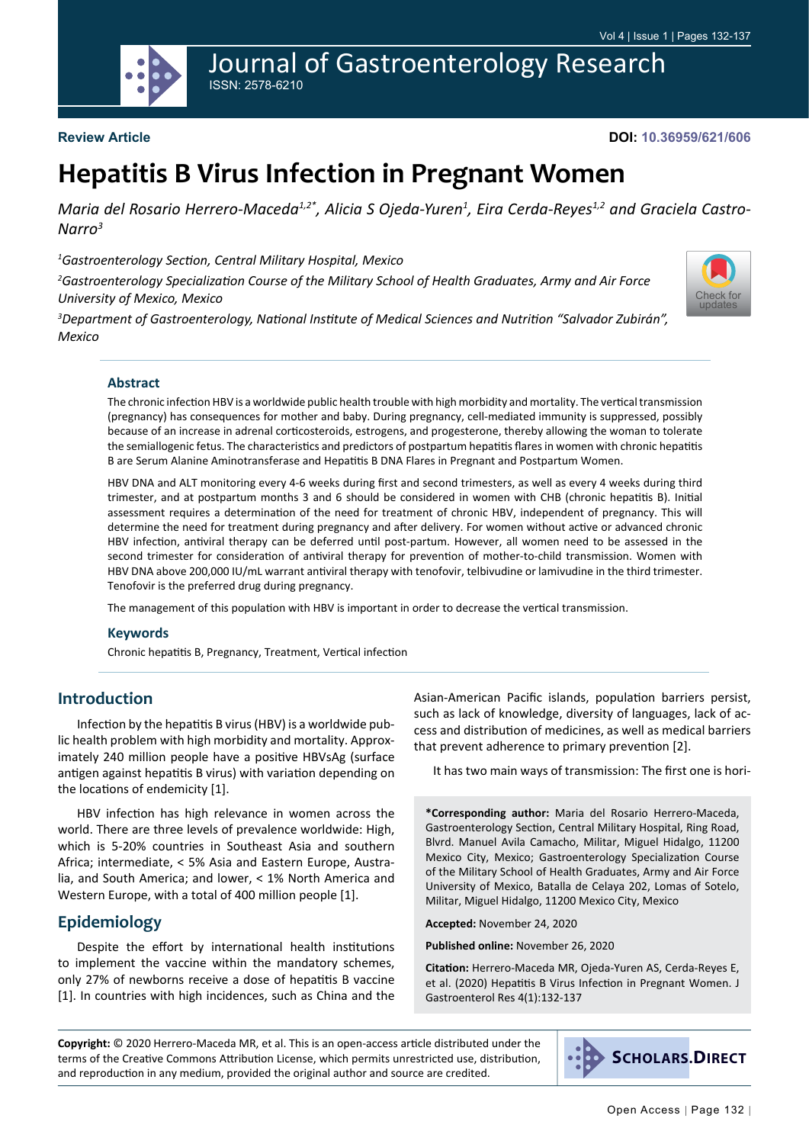

#### **Review Article**

**DOI: 10.36959/621/606**

# **Hepatitis B Virus Infection in Pregnant Women**

Maria del Rosario Herrero-Maceda<sup>1,2\*</sup>, Alicia S Ojeda-Yuren<sup>1</sup>, Eira Cerda-Reyes<sup>1,2</sup> and Graciela Castro-*Narro3*

*1 Gastroenterology Section, Central Military Hospital, Mexico*

*2 Gastroenterology Specialization Course of the Military School of Health Graduates, Army and Air Force University of Mexico, Mexico*



*3 Department of Gastroenterology, National Institute of Medical Sciences and Nutrition "Salvador Zubirán", Mexico*

#### **Abstract**

The chronic infection HBV is a worldwide public health trouble with high morbidity and mortality. The vertical transmission (pregnancy) has consequences for mother and baby. During pregnancy, cell-mediated immunity is suppressed, possibly because of an increase in adrenal corticosteroids, estrogens, and progesterone, thereby allowing the woman to tolerate the semiallogenic fetus. The characteristics and predictors of postpartum hepatitis flares in women with chronic hepatitis B are Serum Alanine Aminotransferase and Hepatitis B DNA Flares in Pregnant and Postpartum Women.

HBV DNA and ALT monitoring every 4-6 weeks during first and second trimesters, as well as every 4 weeks during third trimester, and at postpartum months 3 and 6 should be considered in women with CHB (chronic hepatitis B). Initial assessment requires a determination of the need for treatment of chronic HBV, independent of pregnancy. This will determine the need for treatment during pregnancy and after delivery. For women without active or advanced chronic HBV infection, antiviral therapy can be deferred until post-partum. However, all women need to be assessed in the second trimester for consideration of antiviral therapy for prevention of mother-to-child transmission. Women with HBV DNA above 200,000 IU/mL warrant antiviral therapy with tenofovir, telbivudine or lamivudine in the third trimester. Tenofovir is the preferred drug during pregnancy.

The management of this population with HBV is important in order to decrease the vertical transmission.

#### **Keywords**

Chronic hepatitis B, Pregnancy, Treatment, Vertical infection

#### **Introduction**

Infection by the hepatitis B virus (HBV) is a worldwide public health problem with high morbidity and mortality. Approximately 240 million people have a positive HBVsAg (surface antigen against hepatitis B virus) with variation depending on the locations of endemicity [1].

HBV infection has high relevance in women across the world. There are three levels of prevalence worldwide: High, which is 5-20% countries in Southeast Asia and southern Africa; intermediate, < 5% Asia and Eastern Europe, Australia, and South America; and lower, < 1% North America and Western Europe, with a total of 400 million people [1].

#### **Epidemiology**

Despite the effort by international health institutions to implement the vaccine within the mandatory schemes, only 27% of newborns receive a dose of hepatitis B vaccine [1]. In countries with high incidences, such as China and the Asian-American Pacific islands, population barriers persist, such as lack of knowledge, diversity of languages, lack of access and distribution of medicines, as well as medical barriers that prevent adherence to primary prevention [2].

It has two main ways of transmission: The first one is hori-

**\*Corresponding author:** Maria del Rosario Herrero-Maceda, Gastroenterology Section, Central Military Hospital, Ring Road, Blvrd. Manuel Avila Camacho, Militar, Miguel Hidalgo, 11200 Mexico City, Mexico; Gastroenterology Specialization Course of the Military School of Health Graduates, Army and Air Force University of Mexico, Batalla de Celaya 202, Lomas of Sotelo, Militar, Miguel Hidalgo, 11200 Mexico City, Mexico

**Accepted:** November 24, 2020

**Published online:** November 26, 2020

**Citation:** Herrero-Maceda MR, Ojeda-Yuren AS, Cerda-Reyes E, et al. (2020) Hepatitis B Virus Infection in Pregnant Women. J Gastroenterol Res 4(1):132-137

**Copyright:** © 2020 Herrero-Maceda MR, et al. This is an open-access article distributed under the terms of the Creative Commons Attribution License, which permits unrestricted use, distribution, and reproduction in any medium, provided the original author and source are credited.

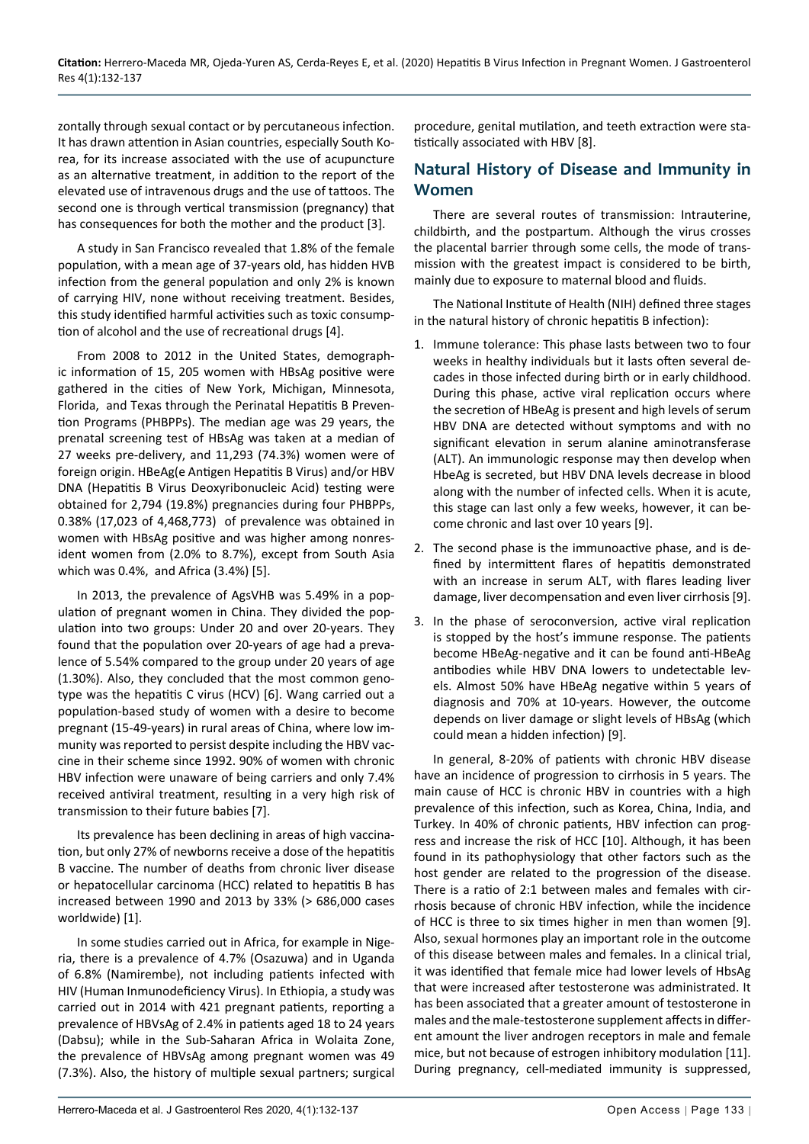zontally through sexual contact or by percutaneous infection. It has drawn attention in Asian countries, especially South Korea, for its increase associated with the use of acupuncture as an alternative treatment, in addition to the report of the elevated use of intravenous drugs and the use of tattoos. The second one is through vertical transmission (pregnancy) that has consequences for both the mother and the product [3].

A study in San Francisco revealed that 1.8% of the female population, with a mean age of 37-years old, has hidden HVB infection from the general population and only 2% is known of carrying HIV, none without receiving treatment. Besides, this study identified harmful activities such as toxic consumption of alcohol and the use of recreational drugs [4].

From 2008 to 2012 in the United States, demographic information of 15, 205 women with HBsAg positive were gathered in the cities of New York, Michigan, Minnesota, Florida, and Texas through the Perinatal Hepatitis B Prevention Programs (PHBPPs). The median age was 29 years, the prenatal screening test of HBsAg was taken at a median of 27 weeks pre-delivery, and 11,293 (74.3%) women were of foreign origin. HBeAg(e Antigen Hepatitis B Virus) and/or HBV DNA (Hepatitis B Virus Deoxyribonucleic Acid) testing were obtained for 2,794 (19.8%) pregnancies during four PHBPPs, 0.38% (17,023 of 4,468,773) of prevalence was obtained in women with HBsAg positive and was higher among nonresident women from (2.0% to 8.7%), except from South Asia which was 0.4%, and Africa (3.4%) [5].

In 2013, the prevalence of AgsVHB was 5.49% in a population of pregnant women in China. They divided the population into two groups: Under 20 and over 20-years. They found that the population over 20-years of age had a prevalence of 5.54% compared to the group under 20 years of age (1.30%). Also, they concluded that the most common genotype was the hepatitis C virus (HCV) [6]. Wang carried out a population-based study of women with a desire to become pregnant (15-49-years) in rural areas of China, where low immunity was reported to persist despite including the HBV vaccine in their scheme since 1992. 90% of women with chronic HBV infection were unaware of being carriers and only 7.4% received antiviral treatment, resulting in a very high risk of transmission to their future babies [7].

Its prevalence has been declining in areas of high vaccination, but only 27% of newborns receive a dose of the hepatitis B vaccine. The number of deaths from chronic liver disease or hepatocellular carcinoma (HCC) related to hepatitis B has increased between 1990 and 2013 by 33% (> 686,000 cases worldwide) [1].

In some studies carried out in Africa, for example in Nigeria, there is a prevalence of 4.7% (Osazuwa) and in Uganda of 6.8% (Namirembe), not including patients infected with HIV (Human Inmunodeficiency Virus). In Ethiopia, a study was carried out in 2014 with 421 pregnant patients, reporting a prevalence of HBVsAg of 2.4% in patients aged 18 to 24 years (Dabsu); while in the Sub-Saharan Africa in Wolaita Zone, the prevalence of HBVsAg among pregnant women was 49 (7.3%). Also, the history of multiple sexual partners; surgical

procedure, genital mutilation, and teeth extraction were statistically associated with HBV [8].

## **Natural History of Disease and Immunity in Women**

There are several routes of transmission: Intrauterine, childbirth, and the postpartum. Although the virus crosses the placental barrier through some cells, the mode of transmission with the greatest impact is considered to be birth, mainly due to exposure to maternal blood and fluids.

The National Institute of Health (NIH) defined three stages in the natural history of chronic hepatitis B infection):

- 1. Immune tolerance: This phase lasts between two to four weeks in healthy individuals but it lasts often several decades in those infected during birth or in early childhood. During this phase, active viral replication occurs where the secretion of HBeAg is present and high levels of serum HBV DNA are detected without symptoms and with no significant elevation in serum alanine aminotransferase (ALT). An immunologic response may then develop when HbeAg is secreted, but HBV DNA levels decrease in blood along with the number of infected cells. When it is acute, this stage can last only a few weeks, however, it can become chronic and last over 10 years [9].
- 2. The second phase is the immunoactive phase, and is defined by intermittent flares of hepatitis demonstrated with an increase in serum ALT, with flares leading liver damage, liver decompensation and even liver cirrhosis [9].
- 3. In the phase of seroconversion, active viral replication is stopped by the host's immune response. The patients become HBeAg-negative and it can be found anti-HBeAg antibodies while HBV DNA lowers to undetectable levels. Almost 50% have HBeAg negative within 5 years of diagnosis and 70% at 10-years. However, the outcome depends on liver damage or slight levels of HBsAg (which could mean a hidden infection) [9].

In general, 8-20% of patients with chronic HBV disease have an incidence of progression to cirrhosis in 5 years. The main cause of HCC is chronic HBV in countries with a high prevalence of this infection, such as Korea, China, India, and Turkey. In 40% of chronic patients, HBV infection can progress and increase the risk of HCC [10]. Although, it has been found in its pathophysiology that other factors such as the host gender are related to the progression of the disease. There is a ratio of 2:1 between males and females with cirrhosis because of chronic HBV infection, while the incidence of HCC is three to six times higher in men than women [9]. Also, sexual hormones play an important role in the outcome of this disease between males and females. In a clinical trial, it was identified that female mice had lower levels of HbsAg that were increased after testosterone was administrated. It has been associated that a greater amount of testosterone in males and the male-testosterone supplement affects in different amount the liver androgen receptors in male and female mice, but not because of estrogen inhibitory modulation [11]. During pregnancy, cell-mediated immunity is suppressed,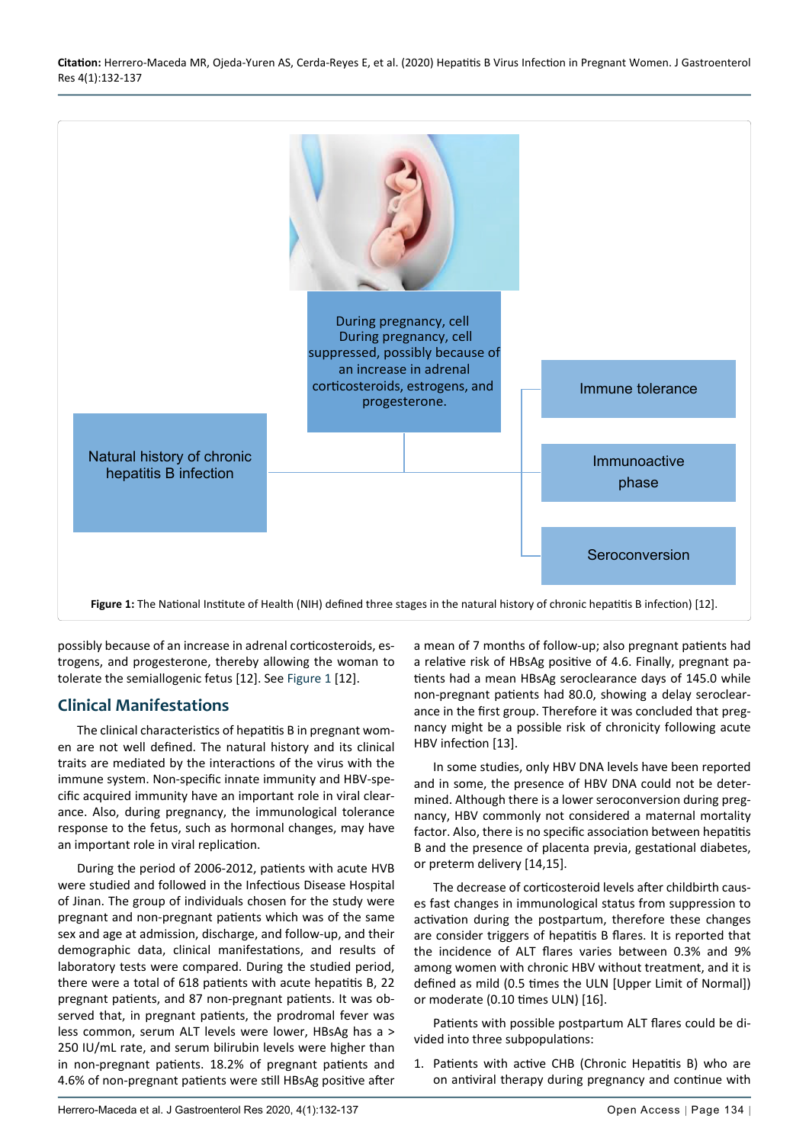<span id="page-2-0"></span>

possibly because of an increase in adrenal corticosteroids, estrogens, and progesterone, thereby allowing the woman to tolerate the semiallogenic fetus [12]. See [Figure 1](#page-2-0) [12].

## **Clinical Manifestations**

The clinical characteristics of hepatitis B in pregnant women are not well defined. The natural history and its clinical traits are mediated by the interactions of the virus with the immune system. Non-specific innate immunity and HBV-specific acquired immunity have an important role in viral clearance. Also, during pregnancy, the immunological tolerance response to the fetus, such as hormonal changes, may have an important role in viral replication.

During the period of 2006-2012, patients with acute HVB were studied and followed in the Infectious Disease Hospital of Jinan. The group of individuals chosen for the study were pregnant and non-pregnant patients which was of the same sex and age at admission, discharge, and follow-up, and their demographic data, clinical manifestations, and results of laboratory tests were compared. During the studied period, there were a total of 618 patients with acute hepatitis B, 22 pregnant patients, and 87 non-pregnant patients. It was observed that, in pregnant patients, the prodromal fever was less common, serum ALT levels were lower, HBsAg has a > 250 IU/mL rate, and serum bilirubin levels were higher than in non-pregnant patients. 18.2% of pregnant patients and 4.6% of non-pregnant patients were still HBsAg positive after

a mean of 7 months of follow-up; also pregnant patients had a relative risk of HBsAg positive of 4.6. Finally, pregnant patients had a mean HBsAg seroclearance days of 145.0 while non-pregnant patients had 80.0, showing a delay seroclearance in the first group. Therefore it was concluded that pregnancy might be a possible risk of chronicity following acute HBV infection [13].

In some studies, only HBV DNA levels have been reported and in some, the presence of HBV DNA could not be determined. Although there is a lower seroconversion during pregnancy, HBV commonly not considered a maternal mortality factor. Also, there is no specific association between hepatitis B and the presence of placenta previa, gestational diabetes, or preterm delivery [14,15].

The decrease of corticosteroid levels after childbirth causes fast changes in immunological status from suppression to activation during the postpartum, therefore these changes are consider triggers of hepatitis B flares. It is reported that the incidence of ALT flares varies between 0.3% and 9% among women with chronic HBV without treatment, and it is defined as mild (0.5 times the ULN [Upper Limit of Normal]) or moderate (0.10 times ULN) [16].

Patients with possible postpartum ALT flares could be divided into three subpopulations:

1. Patients with active CHB (Chronic Hepatitis B) who are on antiviral therapy during pregnancy and continue with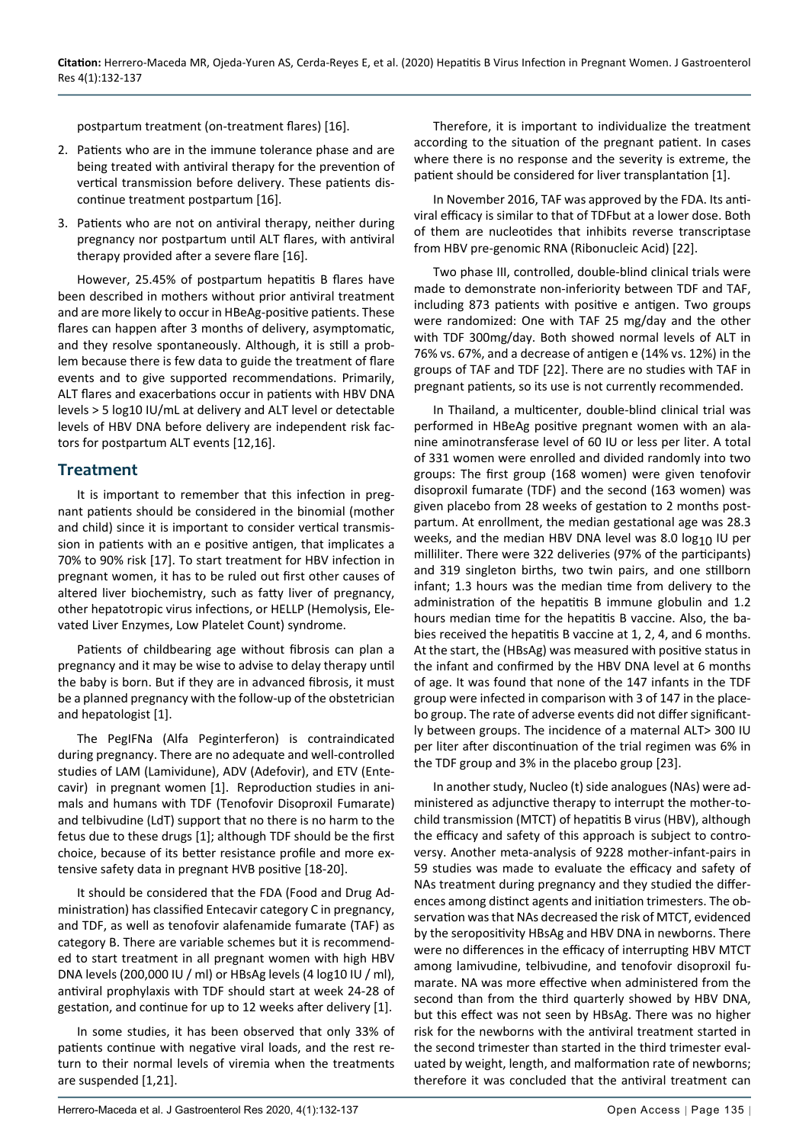postpartum treatment (on-treatment flares) [16].

- 2. Patients who are in the immune tolerance phase and are being treated with antiviral therapy for the prevention of vertical transmission before delivery. These patients discontinue treatment postpartum [16].
- 3. Patients who are not on antiviral therapy, neither during pregnancy nor postpartum until ALT flares, with antiviral therapy provided after a severe flare [16].

However, 25.45% of postpartum hepatitis B flares have been described in mothers without prior antiviral treatment and are more likely to occur in HBeAg-positive patients. These flares can happen after 3 months of delivery, asymptomatic, and they resolve spontaneously. Although, it is still a problem because there is few data to guide the treatment of flare events and to give supported recommendations. Primarily, ALT flares and exacerbations occur in patients with HBV DNA levels > 5 log10 IU/mL at delivery and ALT level or detectable levels of HBV DNA before delivery are independent risk factors for postpartum ALT events [12,16].

#### **Treatment**

It is important to remember that this infection in pregnant patients should be considered in the binomial (mother and child) since it is important to consider vertical transmission in patients with an e positive antigen, that implicates a 70% to 90% risk [17]. To start treatment for HBV infection in pregnant women, it has to be ruled out first other causes of altered liver biochemistry, such as fatty liver of pregnancy, other hepatotropic virus infections, or HELLP (Hemolysis, Elevated Liver Enzymes, Low Platelet Count) syndrome.

Patients of childbearing age without fibrosis can plan a pregnancy and it may be wise to advise to delay therapy until the baby is born. But if they are in advanced fibrosis, it must be a planned pregnancy with the follow-up of the obstetrician and hepatologist [1].

The PegIFNa (Alfa Peginterferon) is contraindicated during pregnancy. There are no adequate and well-controlled studies of LAM (Lamividune), ADV (Adefovir), and ETV (Entecavir) in pregnant women [1]. Reproduction studies in animals and humans with TDF (Tenofovir Disoproxil Fumarate) and telbivudine (LdT) support that no there is no harm to the fetus due to these drugs [1]; although TDF should be the first choice, because of its better resistance profile and more extensive safety data in pregnant HVB positive [18-20].

It should be considered that the FDA (Food and Drug Administration) has classified Entecavir category C in pregnancy, and TDF, as well as tenofovir alafenamide fumarate (TAF) as category B. There are variable schemes but it is recommended to start treatment in all pregnant women with high HBV DNA levels (200,000 IU / ml) or HBsAg levels (4 log10 IU / ml), antiviral prophylaxis with TDF should start at week 24-28 of gestation, and continue for up to 12 weeks after delivery [1].

In some studies, it has been observed that only 33% of patients continue with negative viral loads, and the rest return to their normal levels of viremia when the treatments are suspended [1,21].

Therefore, it is important to individualize the treatment according to the situation of the pregnant patient. In cases where there is no response and the severity is extreme, the patient should be considered for liver transplantation [1].

In November 2016, TAF was approved by the FDA. Its antiviral efficacy is similar to that of TDFbut at a lower dose. Both of them are nucleotides that inhibits reverse transcriptase from HBV pre-genomic RNA (Ribonucleic Acid) [22].

Two phase III, controlled, double-blind clinical trials were made to demonstrate non-inferiority between TDF and TAF, including 873 patients with positive e antigen. Two groups were randomized: One with TAF 25 mg/day and the other with TDF 300mg/day. Both showed normal levels of ALT in 76% vs. 67%, and a decrease of antigen e (14% vs. 12%) in the groups of TAF and TDF [22]. There are no studies with TAF in pregnant patients, so its use is not currently recommended.

In Thailand, a multicenter, double-blind clinical trial was performed in HBeAg positive pregnant women with an alanine aminotransferase level of 60 IU or less per liter. A total of 331 women were enrolled and divided randomly into two groups: The first group (168 women) were given tenofovir disoproxil fumarate (TDF) and the second (163 women) was given placebo from 28 weeks of gestation to 2 months postpartum. At enrollment, the median gestational age was 28.3 weeks, and the median HBV DNA level was 8.0  $log_{10}$  IU per milliliter. There were 322 deliveries (97% of the participants) and 319 singleton births, two twin pairs, and one stillborn infant; 1.3 hours was the median time from delivery to the administration of the hepatitis B immune globulin and 1.2 hours median time for the hepatitis B vaccine. Also, the babies received the hepatitis B vaccine at 1, 2, 4, and 6 months. At the start, the (HBsAg) was measured with positive status in the infant and confirmed by the HBV DNA level at 6 months of age. It was found that none of the 147 infants in the TDF group were infected in comparison with 3 of 147 in the placebo group. The rate of adverse events did not differ significantly between groups. The incidence of a maternal ALT> 300 IU per liter after discontinuation of the trial regimen was 6% in the TDF group and 3% in the placebo group [23].

In another study, Nucleo (t) side analogues (NAs) were administered as adjunctive therapy to interrupt the mother-tochild transmission (MTCT) of hepatitis B virus (HBV), although the efficacy and safety of this approach is subject to controversy. Another meta-analysis of 9228 mother-infant-pairs in 59 studies was made to evaluate the efficacy and safety of NAs treatment during pregnancy and they studied the differences among distinct agents and initiation trimesters. The observation was that NAs decreased the risk of MTCT, evidenced by the seropositivity HBsAg and HBV DNA in newborns. There were no differences in the efficacy of interrupting HBV MTCT among lamivudine, telbivudine, and tenofovir disoproxil fumarate. NA was more effective when administered from the second than from the third quarterly showed by HBV DNA, but this effect was not seen by HBsAg. There was no higher risk for the newborns with the antiviral treatment started in the second trimester than started in the third trimester evaluated by weight, length, and malformation rate of newborns; therefore it was concluded that the antiviral treatment can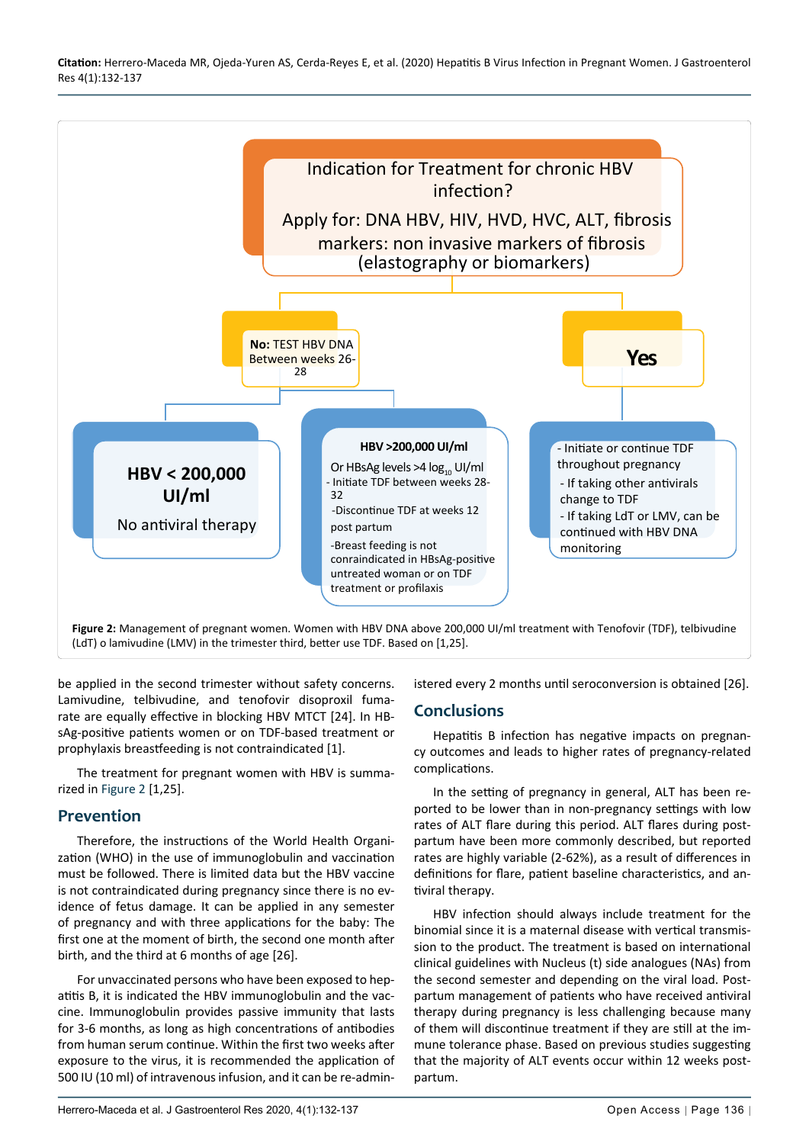<span id="page-4-0"></span>

be applied in the second trimester without safety concerns. Lamivudine, telbivudine, and tenofovir disoproxil fumarate are equally effective in blocking HBV MTCT [24]. In HBsAg-positive patients women or on TDF-based treatment or prophylaxis breastfeeding is not contraindicated [1].

The treatment for pregnant women with HBV is summarized in [Figure 2](#page-4-0) [1,25].

## **Prevention**

Therefore, the instructions of the World Health Organization (WHO) in the use of immunoglobulin and vaccination must be followed. There is limited data but the HBV vaccine is not contraindicated during pregnancy since there is no evidence of fetus damage. It can be applied in any semester of pregnancy and with three applications for the baby: The first one at the moment of birth, the second one month after birth, and the third at 6 months of age [26].

For unvaccinated persons who have been exposed to hepatitis B, it is indicated the HBV immunoglobulin and the vaccine. Immunoglobulin provides passive immunity that lasts for 3-6 months, as long as high concentrations of antibodies from human serum continue. Within the first two weeks after exposure to the virus, it is recommended the application of 500 IU (10 ml) of intravenous infusion, and it can be re-administered every 2 months until seroconversion is obtained [26].

## **Conclusions**

Hepatitis B infection has negative impacts on pregnancy outcomes and leads to higher rates of pregnancy-related complications.

In the setting of pregnancy in general, ALT has been reported to be lower than in non-pregnancy settings with low rates of ALT flare during this period. ALT flares during postpartum have been more commonly described, but reported rates are highly variable (2-62%), as a result of differences in definitions for flare, patient baseline characteristics, and antiviral therapy.

HBV infection should always include treatment for the binomial since it is a maternal disease with vertical transmission to the product. The treatment is based on international clinical guidelines with Nucleus (t) side analogues (NAs) from the second semester and depending on the viral load. Postpartum management of patients who have received antiviral therapy during pregnancy is less challenging because many of them will discontinue treatment if they are still at the immune tolerance phase. Based on previous studies suggesting that the majority of ALT events occur within 12 weeks postpartum.